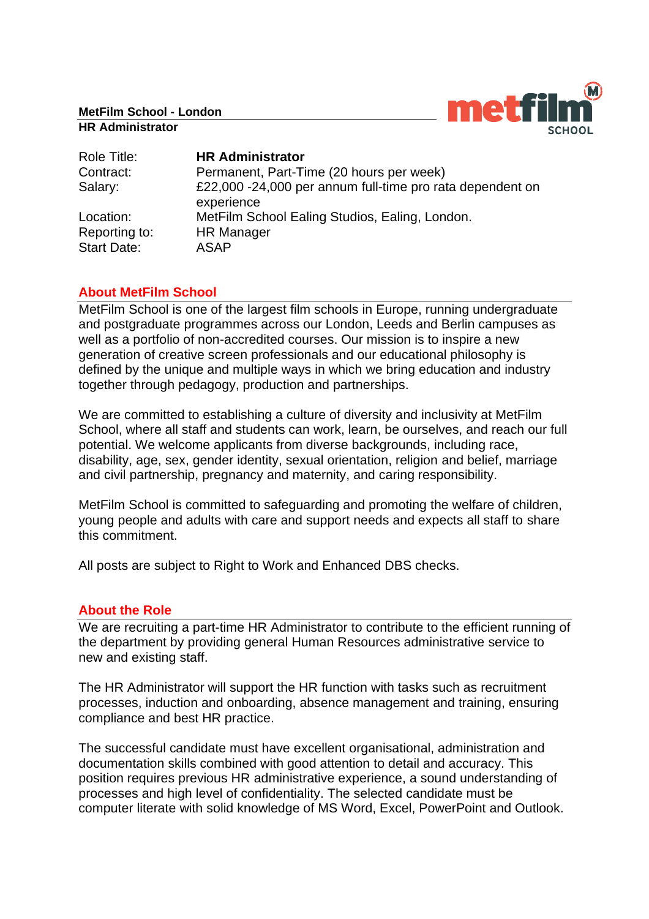**MetFilm School - London**

#### **HR Administrator**



| Role Title:                         | <b>HR Administrator</b>                                                 |
|-------------------------------------|-------------------------------------------------------------------------|
| Contract:                           | Permanent, Part-Time (20 hours per week)                                |
| Salary:                             | £22,000 -24,000 per annum full-time pro rata dependent on<br>experience |
| Location:                           | MetFilm School Ealing Studios, Ealing, London.                          |
| Reporting to:<br><b>Start Date:</b> | <b>HR Manager</b><br><b>ASAP</b>                                        |

# **About MetFilm School**

MetFilm School is one of the largest film schools in Europe, running undergraduate and postgraduate programmes across our London, Leeds and Berlin campuses as well as a portfolio of non-accredited courses. Our mission is to inspire a new generation of creative screen professionals and our educational philosophy is defined by the unique and multiple ways in which we bring education and industry together through pedagogy, production and partnerships.

We are committed to establishing a culture of diversity and inclusivity at MetFilm School, where all staff and students can work, learn, be ourselves, and reach our full potential. We welcome applicants from diverse backgrounds, including race, disability, age, sex, gender identity, sexual orientation, religion and belief, marriage and civil partnership, pregnancy and maternity, and caring responsibility.

MetFilm School is committed to safeguarding and promoting the welfare of children, young people and adults with care and support needs and expects all staff to share this commitment.

All posts are subject to Right to Work and Enhanced DBS checks.

# **About the Role**

We are recruiting a part-time HR Administrator to contribute to the efficient running of the department by providing general Human Resources administrative service to new and existing staff.

The HR Administrator will support the HR function with tasks such as recruitment processes, induction and onboarding, absence management and training, ensuring compliance and best HR practice.

The successful candidate must have excellent organisational, administration and documentation skills combined with good attention to detail and accuracy. This position requires previous HR administrative experience, a sound understanding of processes and high level of confidentiality. The selected candidate must be computer literate with solid knowledge of MS Word, Excel, PowerPoint and Outlook.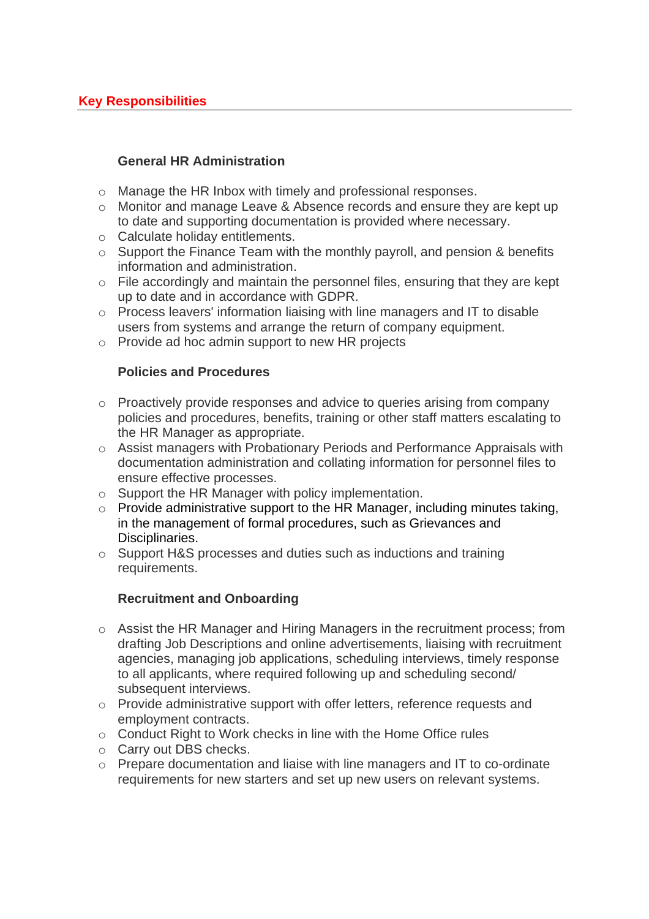### **General HR Administration**

- o Manage the HR Inbox with timely and professional responses.
- o Monitor and manage Leave & Absence records and ensure they are kept up to date and supporting documentation is provided where necessary.
- o Calculate holiday entitlements.
- $\circ$  Support the Finance Team with the monthly payroll, and pension & benefits information and administration.
- o File accordingly and maintain the personnel files, ensuring that they are kept up to date and in accordance with GDPR.
- o Process leavers' information liaising with line managers and IT to disable users from systems and arrange the return of company equipment.
- o Provide ad hoc admin support to new HR projects

### **Policies and Procedures**

- o Proactively provide responses and advice to queries arising from company policies and procedures, benefits, training or other staff matters escalating to the HR Manager as appropriate.
- o Assist managers with Probationary Periods and Performance Appraisals with documentation administration and collating information for personnel files to ensure effective processes.
- o Support the HR Manager with policy implementation.
- $\circ$  Provide administrative support to the HR Manager, including minutes taking, in the management of formal procedures, such as Grievances and Disciplinaries.
- o Support H&S processes and duties such as inductions and training requirements.

# **Recruitment and Onboarding**

- o Assist the HR Manager and Hiring Managers in the recruitment process; from drafting Job Descriptions and online advertisements, liaising with recruitment agencies, managing job applications, scheduling interviews, timely response to all applicants, where required following up and scheduling second/ subsequent interviews.
- o Provide administrative support with offer letters, reference requests and employment contracts.
- o Conduct Right to Work checks in line with the Home Office rules
- o Carry out DBS checks.
- o Prepare documentation and liaise with line managers and IT to co-ordinate requirements for new starters and set up new users on relevant systems.